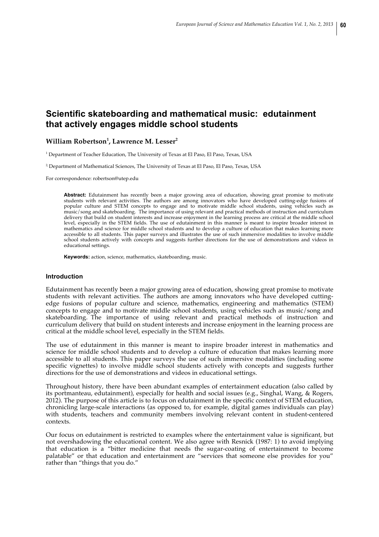# **Scientific skateboarding and mathematical music: edutainment that actively engages middle school students**

## **William Robertson<sup>1</sup> , Lawrence M. Lesser<sup>2</sup>**

<sup>1</sup> Department of Teacher Education, The University of Texas at El Paso, El Paso, Texas, USA

<sup>2</sup> Department of Mathematical Sciences, The University of Texas at El Paso, El Paso, Texas, USA

For correspondence: robertson@utep.edu

**Abstract:** Edutainment has recently been a major growing area of education, showing great promise to motivate students with relevant activities. The authors are among innovators who have developed cutting-edge fusions of popular culture and STEM concepts to engage and to motivate middle school students, using vehicles such as music/song and skateboarding. The importance of using relevant and practical methods of instruction and curriculum delivery that build on student interests and increase enjoyment in the learning process are critical at the middle school level, especially in the STEM fields. The use of edutainment in this manner is meant to inspire broader interest in mathematics and science for middle school students and to develop a culture of education that makes learning more accessible to all students. This paper surveys and illustrates the use of such immersive modalities to involve middle school students actively with concepts and suggests further directions for the use of demonstrations and videos in educational settings.

**Keywords:** action, science, mathematics, skateboarding, music.

#### **Introduction**

Edutainment has recently been a major growing area of education, showing great promise to motivate students with relevant activities. The authors are among innovators who have developed cuttingedge fusions of popular culture and science, mathematics, engineering and mathematics (STEM) concepts to engage and to motivate middle school students, using vehicles such as music/song and skateboarding. The importance of using relevant and practical methods of instruction and curriculum delivery that build on student interests and increase enjoyment in the learning process are critical at the middle school level, especially in the STEM fields.

The use of edutainment in this manner is meant to inspire broader interest in mathematics and science for middle school students and to develop a culture of education that makes learning more accessible to all students. This paper surveys the use of such immersive modalities (including some specific vignettes) to involve middle school students actively with concepts and suggests further directions for the use of demonstrations and videos in educational settings.

Throughout history, there have been abundant examples of entertainment education (also called by its portmanteau, edutainment), especially for health and social issues (e.g., Singhal, Wang, & Rogers, 2012). The purpose of this article is to focus on edutainment in the specific context of STEM education, chronicling large-scale interactions (as opposed to, for example, digital games individuals can play) with students, teachers and community members involving relevant content in student-centered contexts.

Our focus on edutainment is restricted to examples where the entertainment value is significant, but not overshadowing the educational content. We also agree with Resnick (1987: 1) to avoid implying that education is a "bitter medicine that needs the sugar-coating of entertainment to become palatable" or that education and entertainment are "services that someone else provides for you" rather than "things that you do."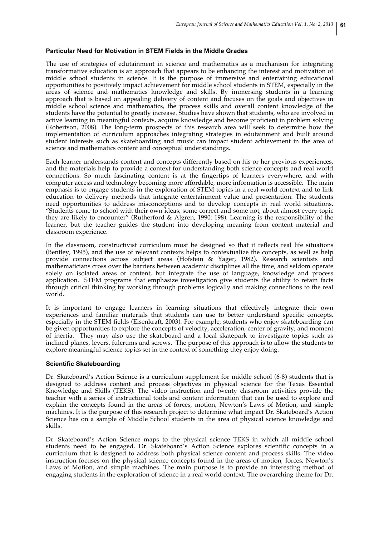## **Particular Need for Motivation in STEM Fields in the Middle Grades**

The use of strategies of edutainment in science and mathematics as a mechanism for integrating transformative education is an approach that appears to be enhancing the interest and motivation of middle school students in science. It is the purpose of immersive and entertaining educational opportunities to positively impact achievement for middle school students in STEM, especially in the areas of science and mathematics knowledge and skills. By immersing students in a learning approach that is based on appealing delivery of content and focuses on the goals and objectives in middle school science and mathematics, the process skills and overall content knowledge of the students have the potential to greatly increase. Studies have shown that students, who are involved in active learning in meaningful contexts, acquire knowledge and become proficient in problem solving (Robertson, 2008). The long-term prospects of this research area will seek to determine how the implementation of curriculum approaches integrating strategies in edutainment and built around student interests such as skateboarding and music can impact student achievement in the area of science and mathematics content and conceptual understandings.

Each learner understands content and concepts differently based on his or her previous experiences, and the materials help to provide a context for understanding both science concepts and real world connections. So much fascinating content is at the fingertips of learners everywhere, and with computer access and technology becoming more affordable, more information is accessible. The main emphasis is to engage students in the exploration of STEM topics in a real world context and to link education to delivery methods that integrate entertainment value and presentation. The students need opportunities to address misconceptions and to develop concepts in real world situations. "Students come to school with their own ideas, some correct and some not, about almost every topic they are likely to encounter" (Rutherford & Algren, 1990: 198). Learning is the responsibility of the learner, but the teacher guides the student into developing meaning from content material and classroom experience.

In the classroom, constructivist curriculum must be designed so that it reflects real life situations (Bentley, 1995), and the use of relevant contexts helps to contextualize the concepts, as well as help provide connections across subject areas (Hofstein & Yager, 1982). Research scientists and mathematicians cross over the barriers between academic disciplines all the time, and seldom operate solely on isolated areas of content, but integrate the use of language, knowledge and process application. STEM programs that emphasize investigation give students the ability to retain facts through critical thinking by working through problems logically and making connections to the real world.

It is important to engage learners in learning situations that effectively integrate their own experiences and familiar materials that students can use to better understand specific concepts, especially in the STEM fields (Eisenkraft, 2003). For example, students who enjoy skateboarding can be given opportunities to explore the concepts of velocity, acceleration, center of gravity, and moment of inertia. They may also use the skateboard and a local skatepark to investigate topics such as inclined planes, levers, fulcrums and screws. The purpose of this approach is to allow the students to explore meaningful science topics set in the context of something they enjoy doing.

#### **Scientific Skateboarding**

Dr. Skateboard's Action Science is a curriculum supplement for middle school (6-8) students that is designed to address content and process objectives in physical science for the Texas Essential Knowledge and Skills (TEKS). The video instruction and twenty classroom activities provide the teacher with a series of instructional tools and content information that can be used to explore and explain the concepts found in the areas of forces, motion, Newton's Laws of Motion, and simple machines. It is the purpose of this research project to determine what impact Dr. Skateboard's Action Science has on a sample of Middle School students in the area of physical science knowledge and skills.

Dr. Skateboard's Action Science maps to the physical science TEKS in which all middle school students need to be engaged. Dr. Skateboard's Action Science explores scientific concepts in a curriculum that is designed to address both physical science content and process skills. The video instruction focuses on the physical science concepts found in the areas of motion, forces, Newton's Laws of Motion, and simple machines. The main purpose is to provide an interesting method of engaging students in the exploration of science in a real world context. The overarching theme for Dr.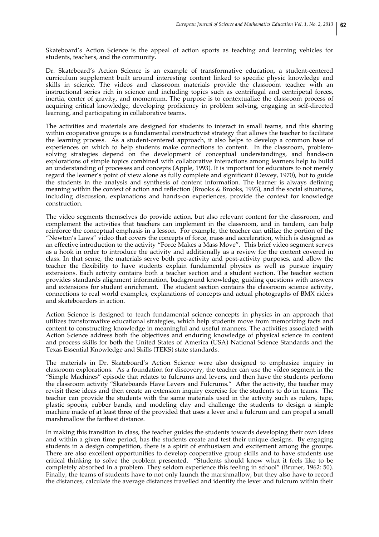Skateboard's Action Science is the appeal of action sports as teaching and learning vehicles for students, teachers, and the community.

Dr. Skateboard's Action Science is an example of transformative education, a student-centered curriculum supplement built around interesting content linked to specific physic knowledge and skills in science. The videos and classroom materials provide the classroom teacher with an instructional series rich in science and including topics such as centrifugal and centripetal forces, inertia, center of gravity, and momentum. The purpose is to contextualize the classroom process of acquiring critical knowledge, developing proficiency in problem solving, engaging in self-directed learning, and participating in collaborative teams.

The activities and materials are designed for students to interact in small teams, and this sharing within cooperative groups is a fundamental constructivist strategy that allows the teacher to facilitate the learning process. As a student-centered approach, it also helps to develop a common base of experiences on which to help students make connections to content. In the classroom, problemsolving strategies depend on the development of conceptual understandings, and hands-on explorations of simple topics combined with collaborative interactions among learners help to build an understanding of processes and concepts (Apple, 1993). It is important for educators to not merely regard the learner's point of view alone as fully complete and significant (Dewey, 1970), but to guide the students in the analysis and synthesis of content information. The learner is always defining meaning within the context of action and reflection (Brooks & Brooks, 1993), and the social situations, including discussion, explanations and hands-on experiences, provide the context for knowledge construction.

The video segments themselves do provide action, but also relevant content for the classroom, and complement the activities that teachers can implement in the classroom, and in tandem, can help reinforce the conceptual emphasis in a lesson. For example, the teacher can utilize the portion of the "Newton's Laws" video that covers the concepts of force, mass and acceleration, which is designed as an effective introduction to the activity "Force Makes a Mass Move". This brief video segment serves as a hook in order to introduce the activity and additionally as a review for the content covered in class. In that sense, the materials serve both pre-activity and post-activity purposes, and allow the teacher the flexibility to have students explain fundamental physics as well as pursue inquiry extensions. Each activity contains both a teacher section and a student section. The teacher section provides standards alignment information, background knowledge, guiding questions with answers and extensions for student enrichment. The student section contains the classroom science activity, connections to real world examples, explanations of concepts and actual photographs of BMX riders and skateboarders in action.

Action Science is designed to teach fundamental science concepts in physics in an approach that utilizes transformative educational strategies, which help students move from memorizing facts and content to constructing knowledge in meaningful and useful manners. The activities associated with Action Science address both the objectives and enduring knowledge of physical science in content and process skills for both the United States of America (USA) National Science Standards and the Texas Essential Knowledge and Skills (TEKS) state standards.

The materials in Dr. Skateboard's Action Science were also designed to emphasize inquiry in classroom explorations. As a foundation for discovery, the teacher can use the video segment in the "Simple Machines" episode that relates to fulcrums and levers, and then have the students perform the classroom activity "Skateboards Have Levers and Fulcrums." After the activity, the teacher may revisit these ideas and then create an extension inquiry exercise for the students to do in teams. The teacher can provide the students with the same materials used in the activity such as rulers, tape, plastic spoons, rubber bands, and modeling clay and challenge the students to design a simple machine made of at least three of the provided that uses a lever and a fulcrum and can propel a small marshmallow the farthest distance.

In making this transition in class, the teacher guides the students towards developing their own ideas and within a given time period, has the students create and test their unique designs. By engaging students in a design competition, there is a spirit of enthusiasm and excitement among the groups. There are also excellent opportunities to develop cooperative group skills and to have students use critical thinking to solve the problem presented. "Students should know what it feels like to be completely absorbed in a problem. They seldom experience this feeling in school" (Bruner, 1962: 50). Finally, the teams of students have to not only launch the marshmallow, but they also have to record the distances, calculate the average distances travelled and identify the lever and fulcrum within their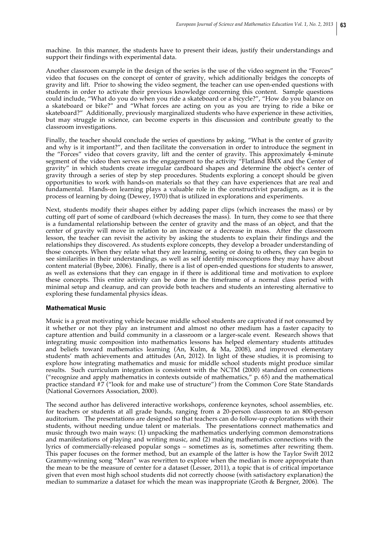machine. In this manner, the students have to present their ideas, justify their understandings and support their findings with experimental data.

Another classroom example in the design of the series is the use of the video segment in the "Forces" video that focuses on the concept of center of gravity, which additionally bridges the concepts of gravity and lift. Prior to showing the video segment, the teacher can use open-ended questions with students in order to activate their previous knowledge concerning this content. Sample questions could include, "What do you do when you ride a skateboard or a bicycle?", "How do you balance on a skateboard or bike?" and "What forces are acting on you as you are trying to ride a bike or skateboard?" Additionally, previously marginalized students who have experience in these activities, but may struggle in science, can become experts in this discussion and contribute greatly to the classroom investigations.

Finally, the teacher should conclude the series of questions by asking, "What is the center of gravity and why is it important?", and then facilitate the conversation in order to introduce the segment in the "Forces" video that covers gravity, lift and the center of gravity. This approximately 4-minute segment of the video then serves as the engagement to the activity "Flatland BMX and the Center of gravity" in which students create irregular cardboard shapes and determine the object's center of gravity through a series of step by step procedures. Students exploring a concept should be given opportunities to work with hands-on materials so that they can have experiences that are real and fundamental. Hands-on learning plays a valuable role in the constructivist paradigm, as it is the process of learning by doing (Dewey, 1970) that is utilized in explorations and experiments.

Next, students modify their shapes either by adding paper clips (which increases the mass) or by cutting off part of some of cardboard (which decreases the mass). In turn, they come to see that there is a fundamental relationship between the center of gravity and the mass of an object, and that the center of gravity will move in relation to an increase or a decrease in mass. After the classroom lesson, the teacher can revisit the activity by asking the students to explain their findings and the relationships they discovered. As students explore concepts, they develop a broader understanding of those concepts. When they relate what they are learning, seeing or doing to others, they can begin to see similarities in their understandings, as well as self identify misconceptions they may have about content material (Bybee, 2006). Finally, there is a list of open-ended questions for students to answer, as well as extensions that they can engage in if there is additional time and motivation to explore these concepts. This entire activity can be done in the timeframe of a normal class period with minimal setup and cleanup, and can provide both teachers and students an interesting alternative to exploring these fundamental physics ideas.

#### **Mathematical Music**

Music is a great motivating vehicle because middle school students are captivated if not consumed by it whether or not they play an instrument and almost no other medium has a faster capacity to capture attention and build community in a classroom or a larger-scale event. Research shows that integrating music composition into mathematics lessons has helped elementary students attitudes and beliefs toward mathematics learning (An, Kulm, & Ma, 2008), and improved elementary students' math achievements and attitudes (An, 2012). In light of these studies, it is promising to explore how integrating mathematics and music for middle school students might produce similar results. Such curriculum integration is consistent with the NCTM (2000) standard on connections ("recognize and apply mathematics in contexts outside of mathematics," p. 65) and the mathematical practice standard #7 ("look for and make use of structure") from the Common Core State Standards (National Governors Association, 2000).

The second author has delivered interactive workshops, conference keynotes, school assemblies, etc. for teachers or students at all grade bands, ranging from a 20-person classroom to an 800-person auditorium. The presentations are designed so that teachers can do follow-up explorations with their students, without needing undue talent or materials. The presentations connect mathematics and music through two main ways: (1) unpacking the mathematics underlying common demonstrations and manifestations of playing and writing music, and (2) making mathematics connections with the lyrics of commercially-released popular songs – sometimes as is, sometimes after rewriting them. This paper focuses on the former method, but an example of the latter is how the Taylor Swift 2012 Grammy-winning song "Mean" was rewritten to explore when the median is more appropriate than the mean to be the measure of center for a dataset (Lesser, 2011), a topic that is of critical importance given that even most high school students did not correctly choose (with satisfactory explanation) the median to summarize a dataset for which the mean was inappropriate (Groth & Bergner, 2006). The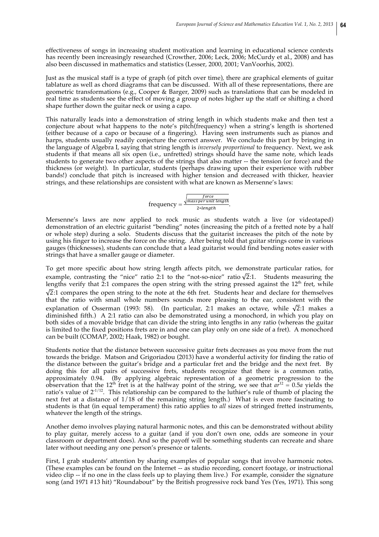effectiveness of songs in increasing student motivation and learning in educational science contexts has recently been increasingly researched (Crowther, 2006; Leck, 2006; McCurdy et al., 2008) and has also been discussed in mathematics and statistics (Lesser, 2000, 2001; VanVoorhis, 2002).

Just as the musical staff is a type of graph (of pitch over time), there are graphical elements of guitar tablature as well as chord diagrams that can be discussed. With all of these representations, there are geometric transformations (e.g., Cooper & Barger, 2009) such as translations that can be modeled in real time as students see the effect of moving a group of notes higher up the staff or shifting a chord shape further down the guitar neck or using a capo.

This naturally leads into a demonstration of string length in which students make and then test a conjecture about what happens to the note's pitch(frequency) when a string's length is shortened (either because of a capo or because of a fingering). Having seen instruments such as pianos and harps, students usually readily conjecture the correct answer. We conclude this part by bringing in the language of Algebra I, saying that string length is *inversely proportional* to frequency. Next, we ask students if that means all six open (i.e., unfretted) strings should have the same note, which leads students to generate two other aspects of the strings that also matter -- the tension (or force) and the thickness (or weight). In particular, students (perhaps drawing upon their experience with rubber bands!) conclude that pitch is increased with higher tension and decreased with thicker, heavier strings, and these relationships are consistent with what are known as Mersenne's laws:

frequency = 
$$
\frac{\sqrt{\frac{force}{mass per unit length}}}{2 * length}.
$$

Mersenne's laws are now applied to rock music as students watch a live (or videotaped) demonstration of an electric guitarist "bending" notes (increasing the pitch of a fretted note by a half or whole step) during a solo. Students discuss that the guitarist increases the pitch of the note by using his finger to increase the force on the string. After being told that guitar strings come in various gauges (thicknesses), students can conclude that a lead guitarist would find bending notes easier with strings that have a smaller gauge or diameter.

To get more specific about how string length affects pitch, we demonstrate particular ratios, for example, contrasting the "nice" ratio 2:1 to the "not-so-nice" ratio  $\sqrt{2}$ :1. Students measuring the lengths verify that  $\tilde{2}$ :1 compares the open string with the string pressed against the 12<sup>th</sup> fret, while  $\sqrt{2}$ :1 compares the open string to the note at the 6th fret. Students hear and declare for themselves that the ratio with small whole numbers sounds more pleasing to the ear, consistent with the explanation of Osserman (1993: 58). (In particular, 2:1 makes an octave, while  $\sqrt{2}$ :1 makes a diminished fifth.) A 2:1 ratio can also be demonstrated using a monochord, in which you play on both sides of a movable bridge that can divide the string into lengths in any ratio (whereas the guitar is limited to the fixed positions frets are in and one can play only on one side of a fret). A monochord can be built (COMAP, 2002; Haak, 1982) or bought.

Students notice that the distance between successive guitar frets decreases as you move from the nut towards the bridge. Matson and Grigoriadou (2013) have a wonderful activity for finding the ratio of the distance between the guitar's bridge and a particular fret and the bridge and the next fret. By doing this for all pairs of successive frets, students recognize that there is a common ratio, approximately 0.94. (By applying algebraic representation of a geometric progression to the observation that the 12<sup>th</sup> fret is at the halfway point of the string, we see that  $a\tilde{r}^{12} = 0.5a$  yields the ratio's value of  $2^{1/12}$ . This relationship can be compared to the luthier's rule of thumb of placing the next fret at a distance of 1/18 of the remaining string length.) What is even more fascinating to students is that (in equal temperament) this ratio applies to *all* sizes of stringed fretted instruments, whatever the length of the strings.

Another demo involves playing natural harmonic notes, and this can be demonstrated without ability to play guitar, merely access to a guitar (and if you don't own one, odds are someone in your classroom or department does). And so the payoff will be something students can recreate and share later without needing any one person's presence or talents.

First, I grab students' attention by sharing examples of popular songs that involve harmonic notes. (These examples can be found on the Internet -- as studio recording, concert footage, or instructional video clip -- if no one in the class feels up to playing them live.) For example, consider the signature song (and 1971 #13 hit) "Roundabout" by the British progressive rock band Yes (Yes, 1971). This song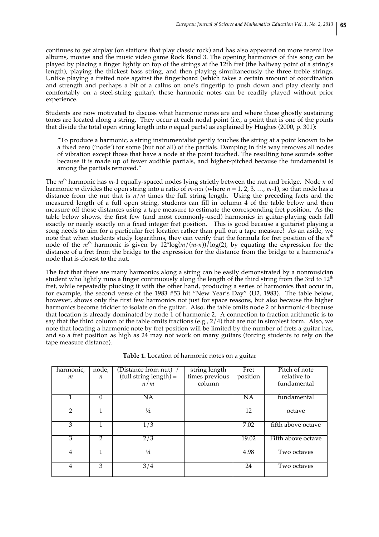continues to get airplay (on stations that play classic rock) and has also appeared on more recent live albums, movies and the music video game Rock Band 3. The opening harmonics of this song can be played by placing a finger lightly on top of the strings at the 12th fret (the halfway point of a string's length), playing the thickest bass string, and then playing simultaneously the three treble strings. Unlike playing a fretted note against the fingerboard (which takes a certain amount of coordination and strength and perhaps a bit of a callus on one's fingertip to push down and play clearly and comfortably on a steel-string guitar), these harmonic notes can be readily played without prior experience.

Students are now motivated to discuss what harmonic notes are and where those ghostly sustaining tones are located along a string. They occur at each nodal point (i.e., a point that is one of the points that divide the total open string length into *n* equal parts) as explained by Hughes (2000, p. 301):

"To produce a harmonic, a string instrumentalist gently touches the string at a point known to be a fixed zero ('node') for some (but not all) of the partials. Damping in this way removes all nodes of vibration except those that have a node at the point touched. The resulting tone sounds softer because it is made up of fewer audible partials, and higher-pitched because the fundamental is among the partials removed."

The *m*th harmonic has *m*-1 equally-spaced nodes lying strictly between the nut and bridge. Node *n* of harmonic *m* divides the open string into a ratio of *m*-*n*:*n* (where *n* = 1, 2, 3, …, *m*-1), so that node has a distance from the nut that is *n*/*m* times the full string length. Using the preceding facts and the measured length of a full open string, students can fill in column  $4$  of the table below and then measure off those distances using a tape measure to estimate the corresponding fret position. As the table below shows, the first few (and most commonly-used) harmonics in guitar-playing each fall exactly or nearly exactly on a fixed integer fret position. This is good because a guitarist playing a song needs to aim for a particular fret location rather than pull out a tape measure! As an aside, we note that when students study logarithms, they can verify that the formula for fret position of the  $n<sup>th</sup>$ node of the  $m^{\text{th}}$  harmonic is given by  $12^{\text{th}}\log(m/(m-n))/\log(2)$ , by equating the expression for the distance of a fret from the bridge to the expression for the distance from the bridge to a harmonic's node that is closest to the nut.

The fact that there are many harmonics along a string can be easily demonstrated by a nonmusician student who lightly runs a finger continuously along the length of the third string from the 3rd to  $12<sup>th</sup>$ fret, while repeatedly plucking it with the other hand, producing a series of harmonics that occur in, for example, the second verse of the 1983 #53 hit "New Year's Day" (U2, 1983). The table below, however, shows only the first few harmonics not just for space reasons, but also because the higher harmonics become trickier to isolate on the guitar. Also, the table omits node 2 of harmonic 4 because that location is already dominated by node 1 of harmonic 2. A connection to fraction arithmetic is to say that the third column of the table omits fractions (e.g.,  $2/4$ ) that are not in simplest form. Also, we note that locating a harmonic note by fret position will be limited by the number of frets a guitar has, and so a fret position as high as 24 may not work on many guitars (forcing students to rely on the tape measure distance).

| harmonic,     | node,            | (Distance from nut) $\mu$ | string length  | Fret      | Pitch of note      |
|---------------|------------------|---------------------------|----------------|-----------|--------------------|
| m             | $\boldsymbol{n}$ | $(tull string length) =$  | times previous | position  | relative to        |
|               |                  | n/m                       | column         |           | fundamental        |
|               |                  |                           |                |           |                    |
|               | 0                | ΝA                        |                | <b>NA</b> | fundamental        |
|               |                  |                           |                |           |                    |
| $\mathcal{L}$ |                  | $\frac{1}{2}$             |                | 12        | octave             |
|               |                  |                           |                |           |                    |
| 3             |                  | 1/3                       |                | 7.02      | fifth above octave |
|               |                  |                           |                |           |                    |
| 3             | 2                | 2/3                       |                | 19.02     | Fifth above octave |
|               |                  |                           |                |           |                    |
| 4             |                  | $\frac{1}{4}$             |                | 4.98      | Two octaves        |
|               |                  |                           |                |           |                    |
| 4             | 3                | 3/4                       |                | 24        | Two octaves        |
|               |                  |                           |                |           |                    |

**Table 1.** Location of harmonic notes on a guitar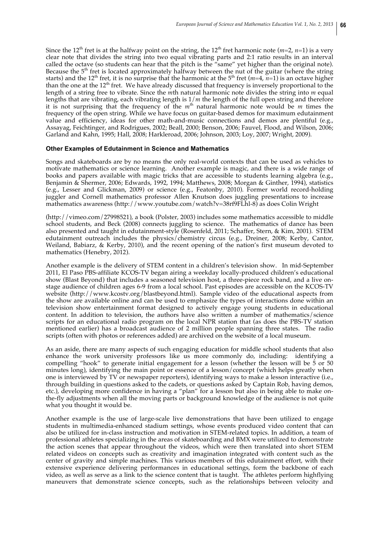Since the 12<sup>th</sup> fret is at the halfway point on the string, the 12<sup>th</sup> fret harmonic note ( $m=2$ ,  $n=1$ ) is a very clear note that divides the string into two equal vibrating parts and 2:1 ratio results in an interval called the octave (so students can hear that the pitch is the "same" yet higher than the original note). Because the  $5<sup>th</sup>$  fret is located approximately halfway between the nut of the guitar (where the string starts) and the 12<sup>th</sup> fret, it is no surprise that the harmonic at the 5<sup>th</sup> fret ( $m=4$ ,  $n=1$ ) is an octave higher than the one at the  $12<sup>th</sup>$  fret. We have already discussed that frequency is inversely proportional to the length of a string free to vibrate. Since the *m*th natural harmonic note divides the string into *m* equal lengths that are vibrating, each vibrating length is 1/*m* the length of the full open string and therefore it is not surprising that the frequency of the  $m<sup>th</sup>$  natural harmonic note would be *m* times the frequency of the open string. While we have focus on guitar-based demos for maximum edutainment value and efficiency, ideas for other math-and-music connections and demos are plentiful (e.g., Assayag, Feichtinger, and Rodrigues, 2002; Beall, 2000; Benson, 2006; Fauvel, Flood, and Wilson, 2006; Garland and Kahn, 1995; Hall, 2008; Harkleroad, 2006; Johnson, 2003; Loy, 2007; Wright, 2009).

## **Other Examples of Edutainment in Science and Mathematics**

Songs and skateboards are by no means the only real-world contexts that can be used as vehicles to motivate mathematics or science learning. Another example is magic, and there is a wide range of books and papers available with magic tricks that are accessible to students learning algebra (e.g., Benjamin & Shermer, 2006; Edwards, 1992, 1994; Matthews, 2008; Morgan & Ginther, 1994), statistics (e.g., Lesser and Glickman, 2009) or science (e.g., Featonby, 2010). Former world record-holding juggler and Cornell mathematics professor Allen Knutson does juggling presentations to increase mathematics awareness (http://www.youtube.com/watch?v=38rf9FLhl-8) as does Colin Wright

(http://vimeo.com/27998521), a book (Polster, 2003) includes some mathematics accessible to middle school students, and Beck (2008) connects juggling to science. The mathematics of dance has been also presented and taught in edutainment-style (Rosenfeld, 2011; Schaffer, Stern, & Kim, 2001). STEM edutainment outreach includes the physics/chemistry circus (e.g., Dreiner, 2008; Kerby, Cantor, Weiland, Babiarz, & Kerby, 2010), and the recent opening of the nation's first museum devoted to mathematics (Henebry, 2012).

Another example is the delivery of STEM content in a children's television show. In mid-September 2011, El Paso PBS-affiliate KCOS-TV began airing a weekday locally-produced children's educational show (Blast Beyond) that includes a seasoned television host, a three-piece rock band, and a live onstage audience of children ages 6-9 from a local school. Past episodes are accessible on the KCOS-TV website (http://www.kcostv.org/blastbeyond.html). Sample video of the educational aspects from the show are available online and can be used to emphasize the types of interactions done within an television show entertainment format designed to actively engage young students in educational content. In addition to television, the authors have also written a number of mathematics/science scripts for an educational radio program on the local NPR station that (as does the PBS-TV station mentioned earlier) has a broadcast audience of 2 million people spanning three states. The radio scripts (often with photos or references added) are archived on the website of a local museum.

As an aside, there are many aspects of such engaging education for middle school students that also enhance the work university professors like us more commonly do, including: identifying a compelling "hook" to generate initial engagement for a lesson (whether the lesson will be 5 or 50 minutes long), identifying the main point or essence of a lesson/concept (which helps greatly when one is interviewed by TV or newspaper reporters), identifying ways to make a lesson interactive (i.e., through building in questions asked to the cadets, or questions asked by Captain Rob, having demos, etc.), developing more confidence in having a "plan" for a lesson but also in being able to make onthe-fly adjustments when all the moving parts or background knowledge of the audience is not quite what you thought it would be.

Another example is the use of large-scale live demonstrations that have been utilized to engage students in multimedia-enhanced stadium settings, whose events produced video content that can also be utilized for in-class instruction and motivation in STEM-related topics. In addition, a team of professional athletes specializing in the areas of skateboarding and BMX were utilized to demonstrate the action scenes that appear throughout the videos, which were then translated into short STEM related videos on concepts such as creativity and imagination integrated with content such as the center of gravity and simple machines. This various members of this edutainment effort, with their extensive experience delivering performances in educational settings, form the backbone of each video, as well as serve as a link to the science content that is taught. The athletes perform highflying maneuvers that demonstrate science concepts, such as the relationships between velocity and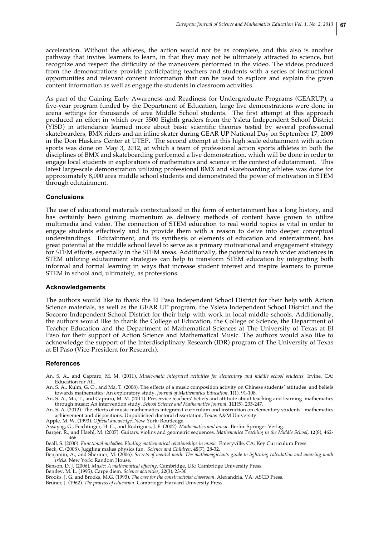acceleration. Without the athletes, the action would not be as complete, and this also is another pathway that invites learners to learn, in that they may not be ultimately attracted to science, but recognize and respect the difficulty of the maneuvers performed in the video. The videos produced from the demonstrations provide participating teachers and students with a series of instructional opportunities and relevant content information that can be used to explore and explain the given content information as well as engage the students in classroom activities.

As part of the Gaining Early Awareness and Readiness for Undergraduate Programs (GEARUP), a five-year program funded by the Department of Education, large live demonstrations were done in arena settings for thousands of area Middle School students. The first attempt at this approach produced an effort in which over 3500 Eighth graders from the Ysleta Independent School District (YISD) in attendance learned more about basic scientific theories tested by several professional skateboarders, BMX riders and an inline skater during GEAR UP National Day on September 17, 2009 in the Don Haskins Center at UTEP**.** The second attempt at this high scale edutainment with action sports was done on May 3, 2012, at which a team of professional action sports athletes in both the disciplines of BMX and skateboarding performed a live demonstration, which will be done in order to engage local students in explorations of mathematics and science in the context of edutainment. This latest large-scale demonstration utilizing professional BMX and skateboarding athletes was done for approximately 8,000 area middle school students and demonstrated the power of motivation in STEM through edutainment.

## **Conclusions**

The use of educational materials contextualized in the form of entertainment has a long history, and has certainly been gaining momentum as delivery methods of content have grown to utilize multimedia and video. The connection of STEM education to real world topics is vital in order to engage students effectively and to provide them with a reason to delve into deeper conceptual understandings. Edutainment, and its synthesis of elements of education and entertainment, has great potential at the middle school level to serve as a primary motivational and engagement strategy for STEM efforts, especially in the STEM areas. Additionally, the potential to reach wider audiences in STEM utilizing edutainment strategies can help to transform STEM education by integrating both informal and formal learning in ways that increase student interest and inspire learners to pursue STEM in school and, ultimately, as professions.

#### **Acknowledgements**

The authors would like to thank the El Paso Independent School District for their help with Action Science materials, as well as the GEAR UP program, the Ysleta Independent School District and the Socorro Independent School District for their help with work in local middle schools. Additionally, the authors would like to thank the College of Education, the College of Science, the Department of Teacher Education and the Department of Mathematical Sciences at The University of Texas at El Paso for their support of Action Science and Mathematical Music. The authors would also like to acknowledge the support of the Interdisciplinary Research (IDR) program of The University of Texas at El Paso (Vice-President for Research).

## **References**

- An, S. A., and Capraro, M. M. (2011). *Music-math integrated activities for elementary and middle school students.* Irvine, CA: Education for All.
- An, S. A., Kulm, G. O., and Ma, T. (2008). The effects of a music composition activity on Chinese students' attitudes and beliefs towards mathematics: An exploratory study. *Journal of Mathematics Education,* **1**(1), 91-108.

An, S. A., Ma, T., and Capraro, M. M. (2011). Preservice teachers' beliefs and attitude about teaching and learning mathematics through music: An intervention study. *School Science and Mathematics Journal*, **111**(5), 235-247.

An, S. A. (2012). The effects of music-mathematics integrated curriculum and instruction on elementary students' mathematics achievement and dispositions. Unpublished doctoral dissertation, Texas A&M University.

Apple, M. W. (1993). *Official knowledge*. New York: Routledge.

Assayag, G., Feichtinger, H. G., and Rodrigues, J. F. (2002). *Mathematics and music*. Berlin: Springer-Verlag.

Barger, R., and Haehl, M. (2007). Guitars, violins and geometric sequences. *Mathematics Teaching in the Middle School*, **12**(8), 462- 466.

Beall, S. (2000). *Functional melodies: Finding mathematical relationships in music.* Emeryville, CA: Key Curriculum Press.

Beck, C. (2008). Juggling makes physics fun. *Science and Children*, **45**(7), 28-32.

Benjamin, A., and Shermer, M. (2006). *Secrets of mental math: The mathemagician's guide to lightning calculation and amazing math tricks*. New York: Random House.

Benson, D. J. (2006). *Music: A mathematical offering*. Cambridge, UK: Cambridge University Press.

Bentley, M. L. (1995). Carpe diem. *Science activities*, *32*(3), 23-30.

Brooks, J. G. and Brooks, M.G. (1993). *The case for the constructivist classroom*. Alexandria, VA: ASCD Press.

Bruner, J. (1962). *The process of education*. Cambridge: Harvard University Press.